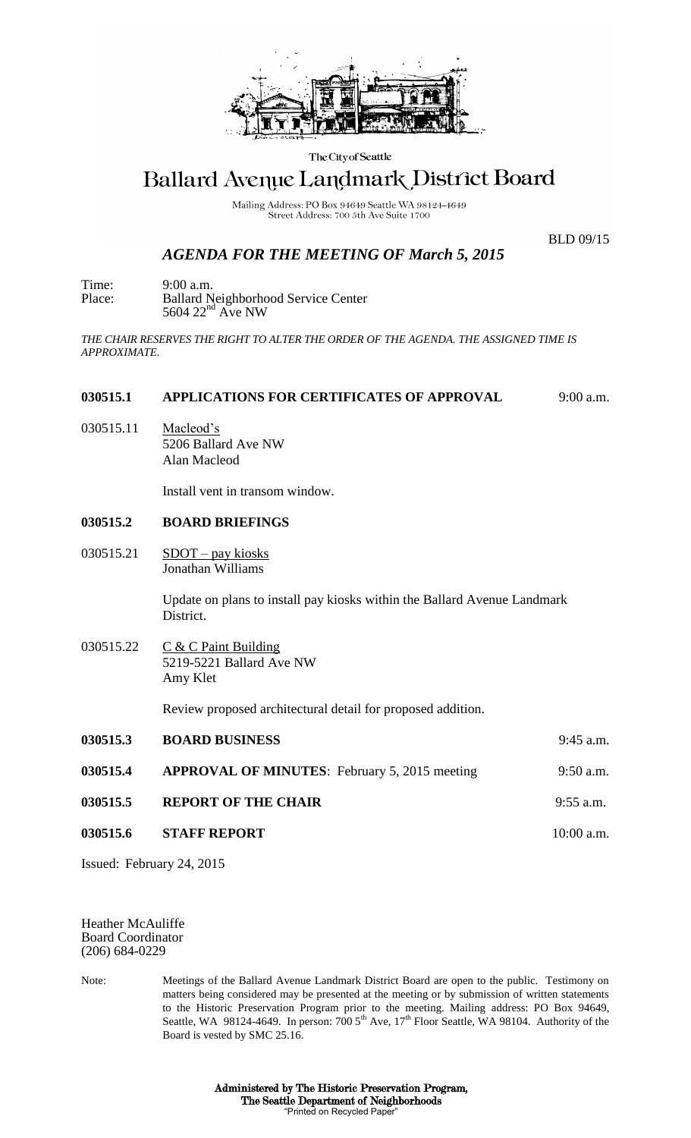

The City of Seattle

# Ballard Avenue Landmark District Board

Mailing Address: PO Box 94649 Seattle WA 98124-4649 Street Address: 700 5th Ave Suite 1700

BLD 09/15

# *AGENDA FOR THE MEETING OF March 5, 2015*

Time: 9:00 a.m. Place: Ballard Neighborhood Service Center  $5604$   $22<sup>nd</sup>$  Ave NW

*THE CHAIR RESERVES THE RIGHT TO ALTER THE ORDER OF THE AGENDA. THE ASSIGNED TIME IS APPROXIMATE.*

#### **030515.1 APPLICATIONS FOR CERTIFICATES OF APPROVAL** 9:00 a.m.

030515.11 Macleod's 5206 Ballard Ave NW Alan Macleod

Install vent in transom window.

## **030515.2 BOARD BRIEFINGS**

030515.21  $SDOT - pay kiosks$ Jonathan Williams

> Update on plans to install pay kiosks within the Ballard Avenue Landmark District.

030515.22 C & C Paint Building 5219-5221 Ballard Ave NW Amy Klet

Review proposed architectural detail for proposed addition.

| 030515.3 | <b>BOARD BUSINESS</b>                                | $9:45$ a.m.  |
|----------|------------------------------------------------------|--------------|
| 030515.4 | <b>APPROVAL OF MINUTES:</b> February 5, 2015 meeting | $9:50$ a.m.  |
| 030515.5 | <b>REPORT OF THE CHAIR</b>                           | $9:55$ a.m.  |
| 030515.6 | <b>STAFF REPORT</b>                                  | $10:00$ a.m. |

Issued: February 24, 2015

Heather McAuliffe Board Coordinator (206) 684-0229

Note: Meetings of the Ballard Avenue Landmark District Board are open to the public. Testimony on matters being considered may be presented at the meeting or by submission of written statements to the Historic Preservation Program prior to the meeting. Mailing address: PO Box 94649, Seattle, WA 98124-4649. In person: 700 5<sup>th</sup> Ave, 17<sup>th</sup> Floor Seattle, WA 98104. Authority of the Board is vested by SMC 25.16.